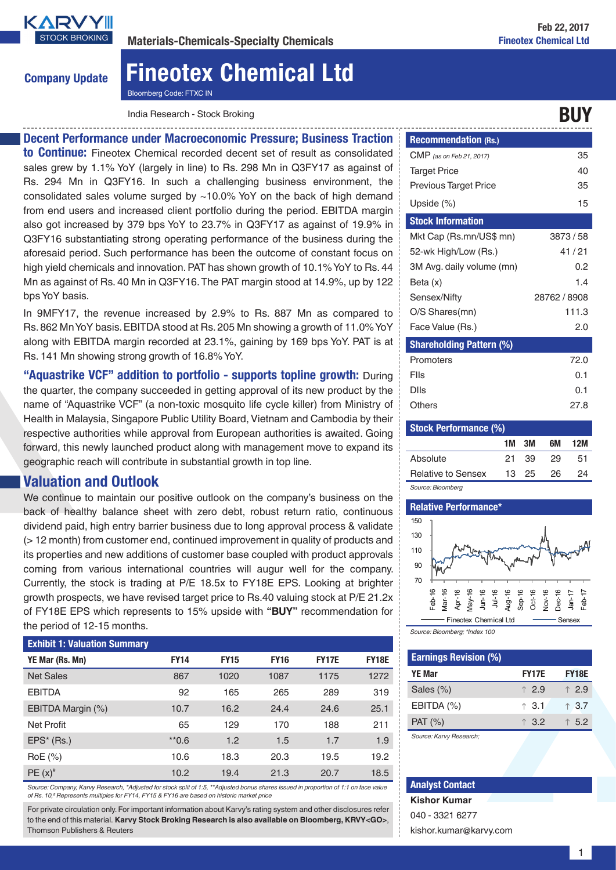

Company Update

# Fineotex Chemical Ltd

Bloomberg Code: FTXC IN

India Research - Stock Broking BUY

### Decent Performance under Macroeconomic Pressure; Business Traction to Continue: Fineotex Chemical recorded decent set of result as consolidated sales grew by 1.1% YoY (largely in line) to Rs. 298 Mn in Q3FY17 as against of Rs. 294 Mn in Q3FY16. In such a challenging business environment, the consolidated sales volume surged by ~10.0% YoY on the back of high demand from end users and increased client portfolio during the period. EBITDA margin also got increased by 379 bps YoY to 23.7% in Q3FY17 as against of 19.9% in Q3FY16 substantiating strong operating performance of the business during the aforesaid period. Such performance has been the outcome of constant focus on high yield chemicals and innovation. PAT has shown growth of 10.1% YoY to Rs. 44 Mn as against of Rs. 40 Mn in Q3FY16. The PAT margin stood at 14.9%, up by 122 bps YoY basis.

In 9MFY17, the revenue increased by 2.9% to Rs. 887 Mn as compared to Rs. 862 Mn YoY basis. EBITDA stood at Rs. 205 Mn showing a growth of 11.0% YoY along with EBITDA margin recorded at 23.1%, gaining by 169 bps YoY. PAT is at Rs. 141 Mn showing strong growth of 16.8% YoY.

"Aquastrike VCF" addition to portfolio - supports topline growth: During the quarter, the company succeeded in getting approval of its new product by the name of "Aquastrike VCF" (a non-toxic mosquito life cycle killer) from Ministry of Health in Malaysia, Singapore Public Utility Board, Vietnam and Cambodia by their respective authorities while approval from European authorities is awaited. Going forward, this newly launched product along with management move to expand its geographic reach will contribute in substantial growth in top line.

### Valuation and Outlook

We continue to maintain our positive outlook on the company's business on the back of healthy balance sheet with zero debt, robust return ratio, continuous dividend paid, high entry barrier business due to long approval process & validate (> 12 month) from customer end, continued improvement in quality of products and its properties and new additions of customer base coupled with product approvals coming from various international countries will augur well for the company. Currently, the stock is trading at P/E 18.5x to FY18E EPS. Looking at brighter growth prospects, we have revised target price to Rs.40 valuing stock at P/E 21.2x of FY18E EPS which represents to 15% upside with **"BUY"** recommendation for the period of 12-15 months.

### Exhibit 1: Valuation Summary

| YE Mar (Rs. Mn)   | <b>FY14</b> | <b>FY15</b> | <b>FY16</b> | <b>FY17E</b> | <b>FY18E</b> |
|-------------------|-------------|-------------|-------------|--------------|--------------|
| <b>Net Sales</b>  | 867         | 1020        | 1087        | 1175         | 1272         |
| <b>EBITDA</b>     | 92          | 165         | 265         | 289          | 319          |
| EBITDA Margin (%) | 10.7        | 16.2        | 24.4        | 24.6         | 25.1         |
| <b>Net Profit</b> | 65          | 129         | 170         | 188          | 211          |
| $EPS^*$ (Rs.)     | $*$ 0.6     | 1.2         | 1.5         | 1.7          | 1.9          |
| RoE (%)           | 10.6        | 18.3        | 20.3        | 19.5         | 19.2         |
| $PE(x)^*$         | 10.2        | 19.4        | 21.3        | 20.7         | 18.5         |

*Source: Company, Karvy Research, \*Adjusted for stock split of 1:5, \*\*Adjusted bonus shares issued in proportion of 1:1 on face value of Rs. 10,# Represents multiples for FY14, FY15 & FY16 are based on historic market price*

For private circulation only. For important information about Karvy's rating system and other disclosures refer to the end of this material. **Karvy Stock Broking Research is also available on Bloomberg, KRVY<GO>**, Thomson Publishers & Reuters

| <b>Recommendation (Rs.)</b>     |              |
|---------------------------------|--------------|
| <b>CMP</b> (as on Feb 21, 2017) | 35           |
| <b>Target Price</b>             | 40           |
| <b>Previous Target Price</b>    | 35           |
| Upside $(\%)$                   | 15           |
| <b>Stock Information</b>        |              |
| Mkt Cap (Rs.mn/US\$ mn)         | 3873/58      |
| 52-wk High/Low (Rs.)            | 41/21        |
| 3M Avg. daily volume (mn)       | 0.2          |
| Beta (x)                        | 1.4          |
| Sensex/Nifty                    | 28762 / 8908 |
| O/S Shares(mn)                  | 111.3        |
| Face Value (Rs.)                | 2.0          |
| <b>Shareholding Pattern (%)</b> |              |
| Promoters                       | 72.0         |
| Flls                            | 0.1          |
| Dlls                            | 0.1          |

| <b>Stock Performance (%)</b> |     |       |    |     |  |  |
|------------------------------|-----|-------|----|-----|--|--|
|                              | 1M  | ЗM    | 6M | 12M |  |  |
| Absolute                     |     | 21 39 | 29 | 51  |  |  |
| <b>Relative to Sensex</b>    | 13. | - 25  | 26 | 24  |  |  |
| Source: Bloomberg            |     |       |    |     |  |  |

Others 27.8



*Source: Bloomberg; \*Index 100*

| <b>Earnings Revision (%)</b> |                |                |
|------------------------------|----------------|----------------|
| YE Mar                       | <b>FY17E</b>   | <b>FY18E</b>   |
| Sales $(\%)$                 | $\uparrow$ 2.9 | $\uparrow$ 2.9 |
| EBITDA (%)                   | $\uparrow$ 3.1 | $\uparrow$ 3.7 |
| PAT(%)                       | $\uparrow$ 3.2 | $\uparrow$ 5.2 |
| Source: Karvy Research;      |                |                |

#### Analyst Contact

**Kishor Kumar** 040 - 3321 6277 kishor.kumar@karvy.com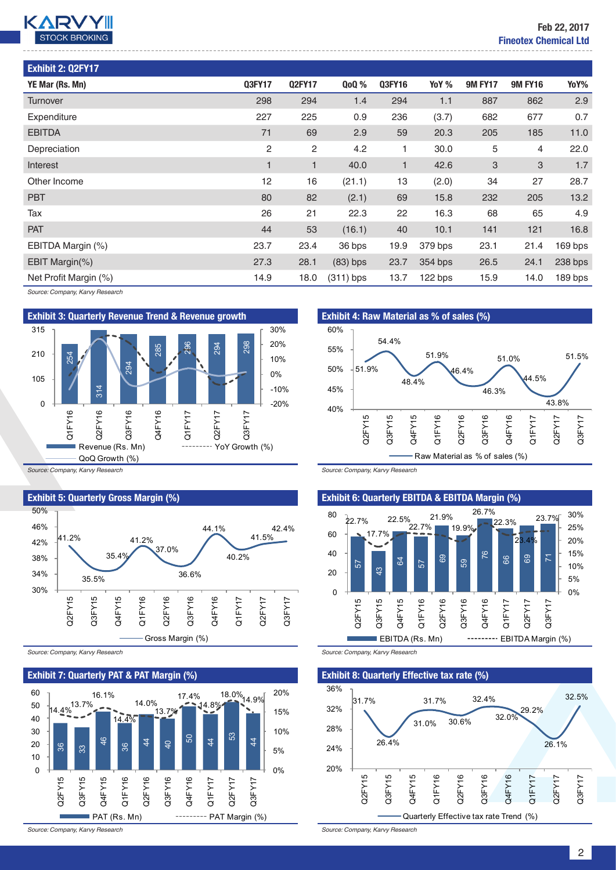

| Exhibit 2: Q2FY17     |              |               |             |        |         |                |                |         |
|-----------------------|--------------|---------------|-------------|--------|---------|----------------|----------------|---------|
| YE Mar (Rs. Mn)       | Q3FY17       | <b>Q2FY17</b> | <b>QoQ%</b> | Q3FY16 | YoY %   | <b>9M FY17</b> | <b>9M FY16</b> | YoY%    |
| Turnover              | 298          | 294           | 1.4         | 294    | 1.1     | 887            | 862            | 2.9     |
| Expenditure           | 227          | 225           | 0.9         | 236    | (3.7)   | 682            | 677            | 0.7     |
| <b>EBITDA</b>         | 71           | 69            | 2.9         | 59     | 20.3    | 205            | 185            | 11.0    |
| Depreciation          | 2            | 2             | 4.2         | 1      | 30.0    | 5              | 4              | 22.0    |
| Interest              | $\mathbf{1}$ | $\mathbf{1}$  | 40.0        | 1      | 42.6    | 3              | 3              | 1.7     |
| Other Income          | 12           | 16            | (21.1)      | 13     | (2.0)   | 34             | 27             | 28.7    |
| <b>PBT</b>            | 80           | 82            | (2.1)       | 69     | 15.8    | 232            | 205            | 13.2    |
| Tax                   | 26           | 21            | 22.3        | 22     | 16.3    | 68             | 65             | 4.9     |
| <b>PAT</b>            | 44           | 53            | (16.1)      | 40     | 10.1    | 141            | 121            | 16.8    |
| EBITDA Margin (%)     | 23.7         | 23.4          | 36 bps      | 19.9   | 379 bps | 23.1           | 21.4           | 169 bps |
| EBIT Margin(%)        | 27.3         | 28.1          | $(83)$ bps  | 23.7   | 354 bps | 26.5           | 24.1           | 238 bps |
| Net Profit Margin (%) | 14.9         | 18.0          | $(311)$ bps | 13.7   | 122 bps | 15.9           | 14.0           | 189 bps |

*Source: Company, Karvy Research*



*Source: Company, Karvy Research*



*Source: Company, Karvy Research*

#### Exhibit 7: Quarterly PAT & PAT Margin (%)



*Source: Company, Karvy Research*



*Source: Company, Karvy Research*

#### Exhibit 6: Quarterly EBITDA & EBITDA Margin (%)



*Source: Company, Karvy Research*

Exhibit 8: Quarterly Effective tax rate (%)



*Source: Company, Karvy Research*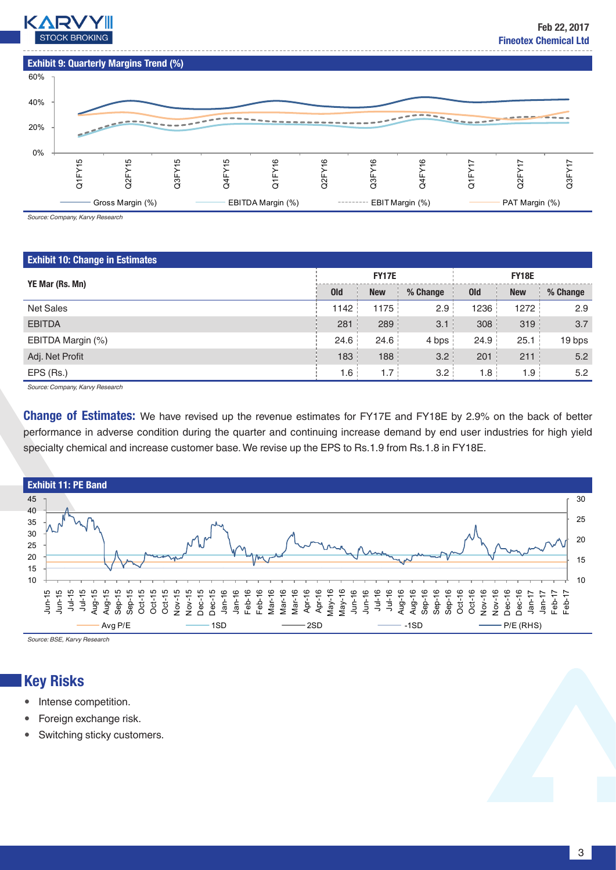



*Source: Company, Karvy Research*

### Exhibit 10: Change in Estimates

|                                              |            | <b>FY17E</b> |          |            | <b>FY18E</b> |          |
|----------------------------------------------|------------|--------------|----------|------------|--------------|----------|
| YE Mar (Rs. Mn)                              | <b>Old</b> | <b>New</b>   | % Change | <b>Old</b> | <b>New</b>   | % Change |
| <b>Net Sales</b>                             | 1142       | 1175         | 2.9      | 1236       | 1272         | 2.9      |
| <b>EBITDA</b>                                | 281        | 289          | 3.1      | 308        | 319          | 3.7      |
| EBITDA Margin (%)                            | 24.6       | 24.6         | 4 bps    | 24.9       | 25.1         | 19 bps   |
| Adj. Net Profit                              | 183        | 188          | 3.2      | 201        | 211          | 5.2      |
| EPS (Rs.)                                    | 1.6        | 1.7          | 3.2      | 1.8        | 1.9          | 5.2      |
| $\sim$ $\sim$ $\sim$<br>$\sim$ $\sim$ $\sim$ |            |              |          |            |              |          |

*Source: Company, Karvy Research*

**Change of Estimates:** We have revised up the revenue estimates for FY17E and FY18E by 2.9% on the back of better performance in adverse condition during the quarter and continuing increase demand by end user industries for high yield specialty chemical and increase customer base. We revise up the EPS to Rs.1.9 from Rs.1.8 in FY18E.



*Source: BSE, Karvy Research*

# Key Risks

- Intense competition.
- Foreign exchange risk.
- Switching sticky customers.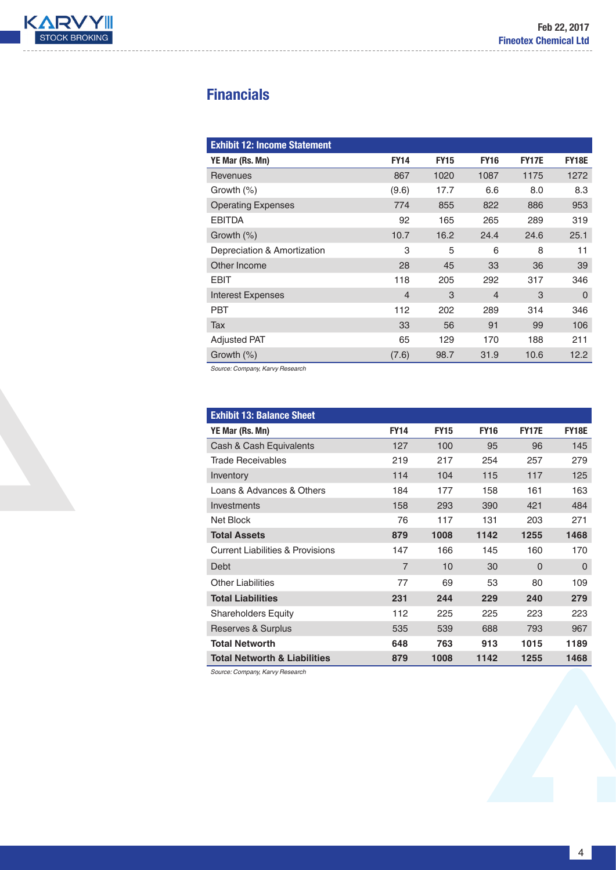

# **Financials**

| <b>Exhibit 12: Income Statement</b> |                |             |                |              |              |
|-------------------------------------|----------------|-------------|----------------|--------------|--------------|
| YE Mar (Rs. Mn)                     | <b>FY14</b>    | <b>FY15</b> | <b>FY16</b>    | <b>FY17E</b> | <b>FY18E</b> |
| Revenues                            | 867            | 1020        | 1087           | 1175         | 1272         |
| Growth $(\%)$                       | (9.6)          | 17.7        | 6.6            | 8.0          | 8.3          |
| <b>Operating Expenses</b>           | 774            | 855         | 822            | 886          | 953          |
| <b>EBITDA</b>                       | 92             | 165         | 265            | 289          | 319          |
| Growth $(\%)$                       | 10.7           | 16.2        | 24.4           | 24.6         | 25.1         |
| Depreciation & Amortization         | 3              | 5           | 6              | 8            | 11           |
| Other Income                        | 28             | 45          | 33             | 36           | 39           |
| <b>EBIT</b>                         | 118            | 205         | 292            | 317          | 346          |
| <b>Interest Expenses</b>            | $\overline{4}$ | 3           | $\overline{4}$ | 3            | $\Omega$     |
| <b>PBT</b>                          | 112            | 202         | 289            | 314          | 346          |
| Tax                                 | 33             | 56          | 91             | 99           | 106          |
| <b>Adjusted PAT</b>                 | 65             | 129         | 170            | 188          | 211          |
| Growth $(\%)$                       | (7.6)          | 98.7        | 31.9           | 10.6         | 12.2         |

*Source: Company, Karvy Research*

| <b>Exhibit 13: Balance Sheet</b>            |                |             |             |              |              |
|---------------------------------------------|----------------|-------------|-------------|--------------|--------------|
| YE Mar (Rs. Mn)                             | <b>FY14</b>    | <b>FY15</b> | <b>FY16</b> | <b>FY17E</b> | <b>FY18E</b> |
| Cash & Cash Equivalents                     | 127            | 100         | 95          | 96           | 145          |
| Trade Receivables                           | 219            | 217         | 254         | 257          | 279          |
| Inventory                                   | 114            | 104         | 115         | 117          | 125          |
| Loans & Advances & Others                   | 184            | 177         | 158         | 161          | 163          |
| Investments                                 | 158            | 293         | 390         | 421          | 484          |
| Net Block                                   | 76             | 117         | 131         | 203          | 271          |
| <b>Total Assets</b>                         | 879            | 1008        | 1142        | 1255         | 1468         |
| <b>Current Liabilities &amp; Provisions</b> | 147            | 166         | 145         | 160          | 170          |
| <b>Debt</b>                                 | $\overline{7}$ | 10          | 30          | $\Omega$     | $\Omega$     |
| <b>Other Liabilities</b>                    | 77             | 69          | 53          | 80           | 109          |
| <b>Total Liabilities</b>                    | 231            | 244         | 229         | 240          | 279          |
| <b>Shareholders Equity</b>                  | 112            | 225         | 225         | 223          | 223          |
| Reserves & Surplus                          | 535            | 539         | 688         | 793          | 967          |
| <b>Total Networth</b>                       | 648            | 763         | 913         | 1015         | 1189         |
| <b>Total Networth &amp; Liabilities</b>     | 879            | 1008        | 1142        | 1255         | 1468         |

*Source: Company, Karvy Research*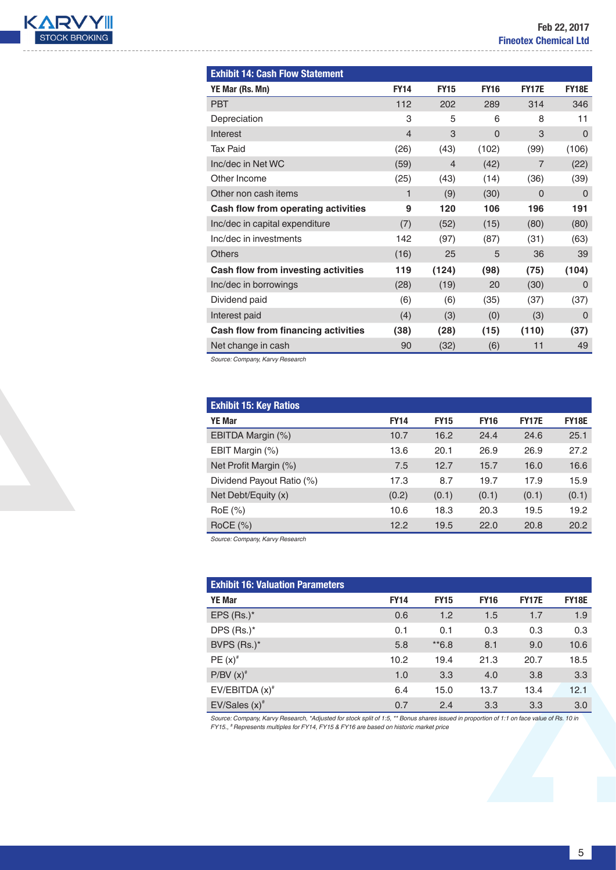

| <b>FY14</b>    | <b>FY15</b>    | <b>FY16</b> | <b>FY17E</b>   | <b>FY18E</b>   |
|----------------|----------------|-------------|----------------|----------------|
| 112            | 202            | 289         | 314            | 346            |
| 3              | 5              | 6           | 8              | 11             |
| $\overline{4}$ | 3              | $\mathbf 0$ | 3              | $\mathbf 0$    |
| (26)           | (43)           | (102)       | (99)           | (106)          |
| (59)           | $\overline{4}$ | (42)        | $\overline{7}$ | (22)           |
| (25)           | (43)           | (14)        | (36)           | (39)           |
| 1              | (9)            | (30)        | $\Omega$       | $\Omega$       |
| 9              | 120            | 106         | 196            | 191            |
| (7)            | (52)           | (15)        | (80)           | (80)           |
| 142            | (97)           | (87)        | (31)           | (63)           |
| (16)           | 25             | 5           | 36             | 39             |
| 119            | (124)          | (98)        | (75)           | (104)          |
| (28)           | (19)           | 20          | (30)           | $\overline{0}$ |
| (6)            | (6)            | (35)        | (37)           | (37)           |
| (4)            | (3)            | (0)         | (3)            | $\Omega$       |
| (38)           | (28)           | (15)        | (110)          | (37)           |
| 90             | (32)           | (6)         | 11             | 49             |
|                |                |             |                |                |

*Source: Company, Karvy Research*

| <b>Exhibit 15: Key Ratios</b> |             |             |             |              |              |
|-------------------------------|-------------|-------------|-------------|--------------|--------------|
| <b>YE Mar</b>                 | <b>FY14</b> | <b>FY15</b> | <b>FY16</b> | <b>FY17E</b> | <b>FY18E</b> |
| EBITDA Margin (%)             | 10.7        | 16.2        | 24.4        | 24.6         | 25.1         |
| EBIT Margin (%)               | 13.6        | 20.1        | 26.9        | 26.9         | 27.2         |
| Net Profit Margin (%)         | 7.5         | 12.7        | 15.7        | 16.0         | 16.6         |
| Dividend Payout Ratio (%)     | 17.3        | 8.7         | 19.7        | 17.9         | 15.9         |
| Net Debt/Equity (x)           | (0.2)       | (0.1)       | (0.1)       | (0.1)        | (0.1)        |
| RoE (%)                       | 10.6        | 18.3        | 20.3        | 19.5         | 19.2         |
| $RoCE$ (%)                    | 12.2        | 19.5        | 22.0        | 20.8         | 20.2         |

*Source: Company, Karvy Research*

| <b>Exhibit 16: Valuation Parameters</b> |             |             |             |              |              |
|-----------------------------------------|-------------|-------------|-------------|--------------|--------------|
| <b>YE Mar</b>                           | <b>FY14</b> | <b>FY15</b> | <b>FY16</b> | <b>FY17E</b> | <b>FY18E</b> |
| EPS $(Rs.)^*$                           | 0.6         | 1.2         | 1.5         | 1.7          | 1.9          |
| DPS (Rs.)*                              | 0.1         | 0.1         | 0.3         | 0.3          | 0.3          |
| BVPS (Rs.)*                             | 5.8         | $*6.8$      | 8.1         | 9.0          | 10.6         |
| $PE(x)^*$                               | 10.2        | 19.4        | 21.3        | 20.7         | 18.5         |
| $P/BV(x)^*$                             | 1.0         | 3.3         | 4.0         | 3.8          | 3.3          |
| $EV/EBITDA(x)^*$                        | 6.4         | 15.0        | 13.7        | 13.4         | 12.1         |
| $EV/Sales (x)*$                         | 0.7         | 2.4         | 3.3         | 3.3          | 3.0          |

Source: Company, Karvy Research, \*Adjusted for stock split of 1:5, \*\* Bonus shares issued in proportion of 1:1 on face value of Rs. 10 in<br>FY15., \* Represents multiples for FY14, FY15 & FY16 are based on historic market pri